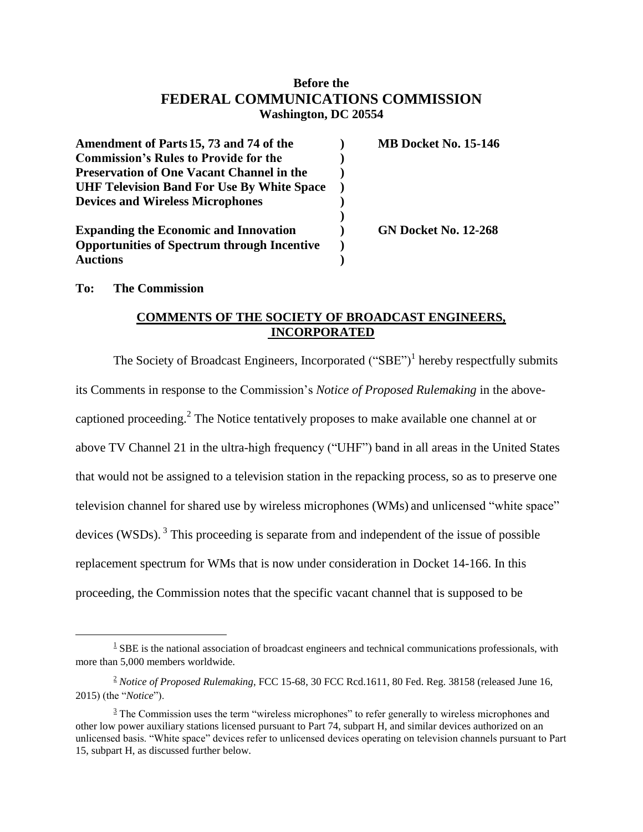## **Before the FEDERAL COMMUNICATIONS COMMISSION Washington, DC 20554**

| Amendment of Parts 15, 73 and 74 of the            | <b>MB Docket No. 15-146</b> |
|----------------------------------------------------|-----------------------------|
| <b>Commission's Rules to Provide for the</b>       |                             |
| <b>Preservation of One Vacant Channel in the</b>   |                             |
| <b>UHF Television Band For Use By White Space</b>  |                             |
| <b>Devices and Wireless Microphones</b>            |                             |
| <b>Expanding the Economic and Innovation</b>       | <b>GN Docket No. 12-268</b> |
| <b>Opportunities of Spectrum through Incentive</b> |                             |
| <b>Auctions</b>                                    |                             |

**To: The Commission**

 $\overline{a}$ 

## **COMMENTS OF THE SOCIETY OF BROADCAST ENGINEERS, INCORPORATED**

The Society of Broadcast Engineers, Incorporated  $("SBE")<sup>1</sup>$  hereby respectfully submits its Comments in response to the Commission's *Notice of Proposed Rulemaking* in the abovecaptioned proceeding.<sup>2</sup> The Notice tentatively proposes to make available one channel at or above TV Channel 21 in the ultra-high frequency ("UHF") band in all areas in the United States that would not be assigned to a television station in the repacking process, so as to preserve one television channel for shared use by wireless microphones (WMs) and unlicensed "white space" devices (WSDs).<sup>3</sup> This proceeding is separate from and independent of the issue of possible replacement spectrum for WMs that is now under consideration in Docket 14-166. In this proceeding, the Commission notes that the specific vacant channel that is supposed to be

 $1$  SBE is the national association of broadcast engineers and technical communications professionals, with more than 5,000 members worldwide.

<sup>&</sup>lt;sup>2</sup> Notice of Proposed Rulemaking, FCC 15-68, 30 FCC Rcd.1611, 80 Fed. Reg. 38158 (released June 16, 2015) (the "*Notice*").

 $3$  The Commission uses the term "wireless microphones" to refer generally to wireless microphones and other low power auxiliary stations licensed pursuant to Part 74, subpart H, and similar devices authorized on an unlicensed basis. "White space" devices refer to unlicensed devices operating on television channels pursuant to Part 15, subpart H, as discussed further below.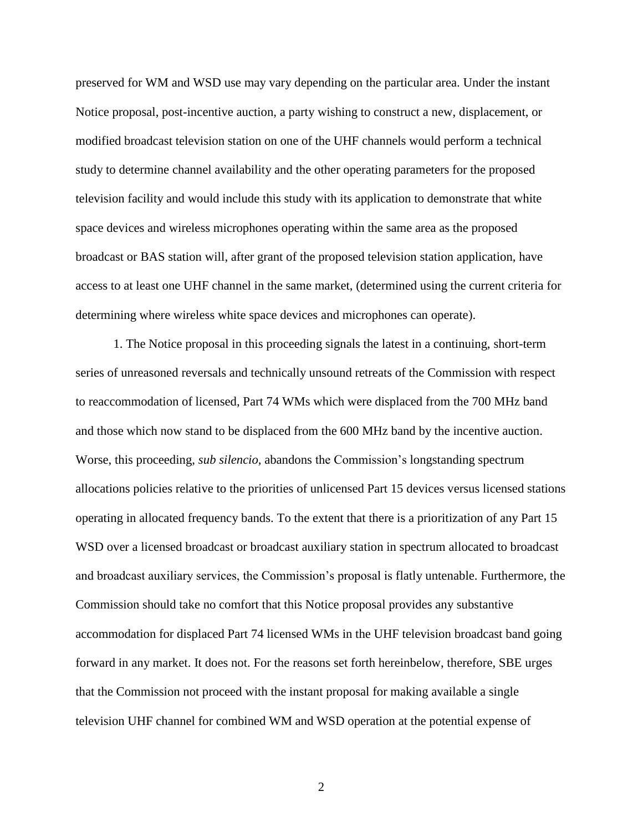preserved for WM and WSD use may vary depending on the particular area. Under the instant Notice proposal, post-incentive auction, a party wishing to construct a new, displacement, or modified broadcast television station on one of the UHF channels would perform a technical study to determine channel availability and the other operating parameters for the proposed television facility and would include this study with its application to demonstrate that white space devices and wireless microphones operating within the same area as the proposed broadcast or BAS station will, after grant of the proposed television station application, have access to at least one UHF channel in the same market, (determined using the current criteria for determining where wireless white space devices and microphones can operate).

1. The Notice proposal in this proceeding signals the latest in a continuing, short-term series of unreasoned reversals and technically unsound retreats of the Commission with respect to reaccommodation of licensed, Part 74 WMs which were displaced from the 700 MHz band and those which now stand to be displaced from the 600 MHz band by the incentive auction. Worse, this proceeding, *sub silencio,* abandons the Commission's longstanding spectrum allocations policies relative to the priorities of unlicensed Part 15 devices versus licensed stations operating in allocated frequency bands. To the extent that there is a prioritization of any Part 15 WSD over a licensed broadcast or broadcast auxiliary station in spectrum allocated to broadcast and broadcast auxiliary services, the Commission's proposal is flatly untenable. Furthermore, the Commission should take no comfort that this Notice proposal provides any substantive accommodation for displaced Part 74 licensed WMs in the UHF television broadcast band going forward in any market. It does not. For the reasons set forth hereinbelow, therefore, SBE urges that the Commission not proceed with the instant proposal for making available a single television UHF channel for combined WM and WSD operation at the potential expense of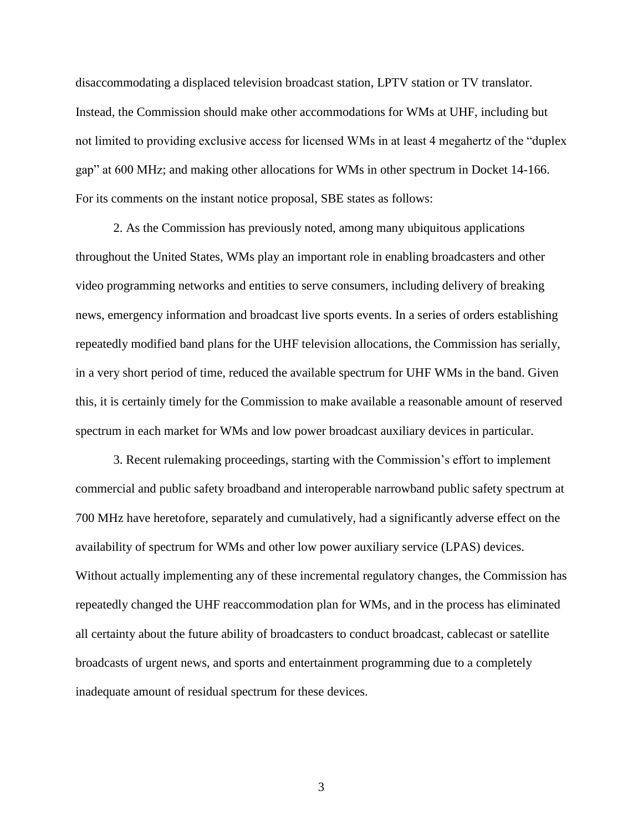disaccommodating a displaced television broadcast station, LPTV station or TV translator. Instead, the Commission should make other accommodations for WMs at UHF, including but not limited to providing exclusive access for licensed WMs in at least 4 megahertz of the "duplex gap" at 600 MHz; and making other allocations for WMs in other spectrum in Docket 14-166. For its comments on the instant notice proposal, SBE states as follows:

2. As the Commission has previously noted, among many ubiquitous applications throughout the United States, WMs play an important role in enabling broadcasters and other video programming networks and entities to serve consumers, including delivery of breaking news, emergency information and broadcast live sports events. In a series of orders establishing repeatedly modified band plans for the UHF television allocations, the Commission has serially, in a very short period of time, reduced the available spectrum for UHF WMs in the band. Given this, it is certainly timely for the Commission to make available a reasonable amount of reserved spectrum in each market for WMs and low power broadcast auxiliary devices in particular.

3. Recent rulemaking proceedings, starting with the Commission's effort to implement commercial and public safety broadband and interoperable narrowband public safety spectrum at 700 MHz have heretofore, separately and cumulatively, had a significantly adverse effect on the availability of spectrum for WMs and other low power auxiliary service (LPAS) devices. Without actually implementing any of these incremental regulatory changes, the Commission has repeatedly changed the UHF reaccommodation plan for WMs, and in the process has eliminated all certainty about the future ability of broadcasters to conduct broadcast, cablecast or satellite broadcasts of urgent news, and sports and entertainment programming due to a completely inadequate amount of residual spectrum for these devices.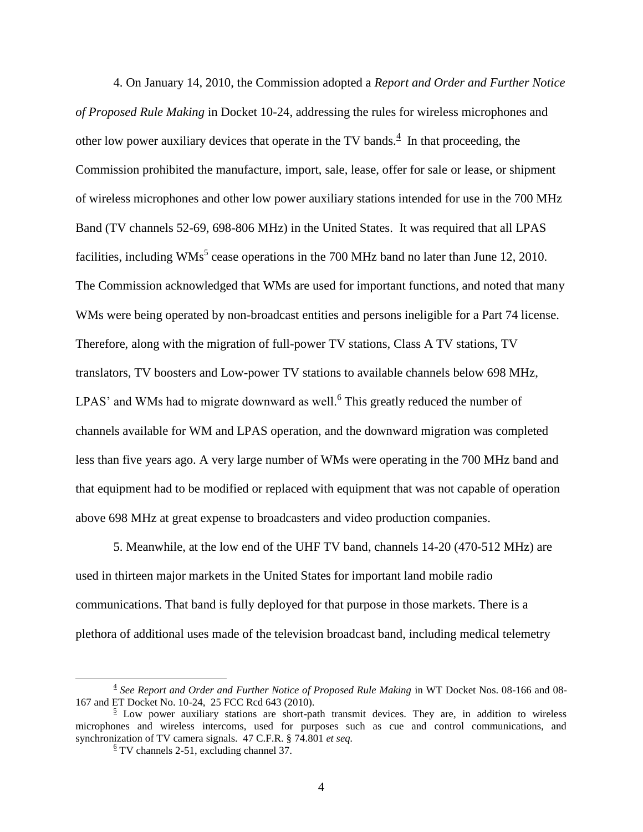4. On January 14, 2010, the Commission adopted a *Report and Order and Further Notice of Proposed Rule Making* in Docket 10-24, addressing the rules for wireless microphones and other low power auxiliary devices that operate in the TV bands. $<sup>4</sup>$  In that proceeding, the</sup> Commission prohibited the manufacture, import, sale, lease, offer for sale or lease, or shipment of wireless microphones and other low power auxiliary stations intended for use in the 700 MHz Band (TV channels 52-69, 698-806 MHz) in the United States. It was required that all LPAS facilities, including  $WMs^5$  cease operations in the 700 MHz band no later than June 12, 2010. The Commission acknowledged that WMs are used for important functions, and noted that many WMs were being operated by non-broadcast entities and persons ineligible for a Part 74 license. Therefore, along with the migration of full-power TV stations, Class A TV stations, TV translators, TV boosters and Low-power TV stations to available channels below 698 MHz, LPAS' and WMs had to migrate downward as well.<sup>6</sup> This greatly reduced the number of channels available for WM and LPAS operation, and the downward migration was completed less than five years ago. A very large number of WMs were operating in the 700 MHz band and that equipment had to be modified or replaced with equipment that was not capable of operation above 698 MHz at great expense to broadcasters and video production companies.

5. Meanwhile, at the low end of the UHF TV band, channels 14-20 (470-512 MHz) are used in thirteen major markets in the United States for important land mobile radio communications. That band is fully deployed for that purpose in those markets. There is a plethora of additional uses made of the television broadcast band, including medical telemetry

<sup>4</sup> *See Report and Order and Further Notice of Proposed Rule Making* in WT Docket Nos. 08-166 and 08- 167 and ET Docket No. 10-24, 25 FCC Rcd 643 (2010).

 $\frac{5}{2}$  Low power auxiliary stations are short-path transmit devices. They are, in addition to wireless microphones and wireless intercoms, used for purposes such as cue and control communications, and synchronization of TV camera signals. 47 C.F.R. § 74.801 *et seq.*

 $\frac{6}{5}$  TV channels 2-51, excluding channel 37.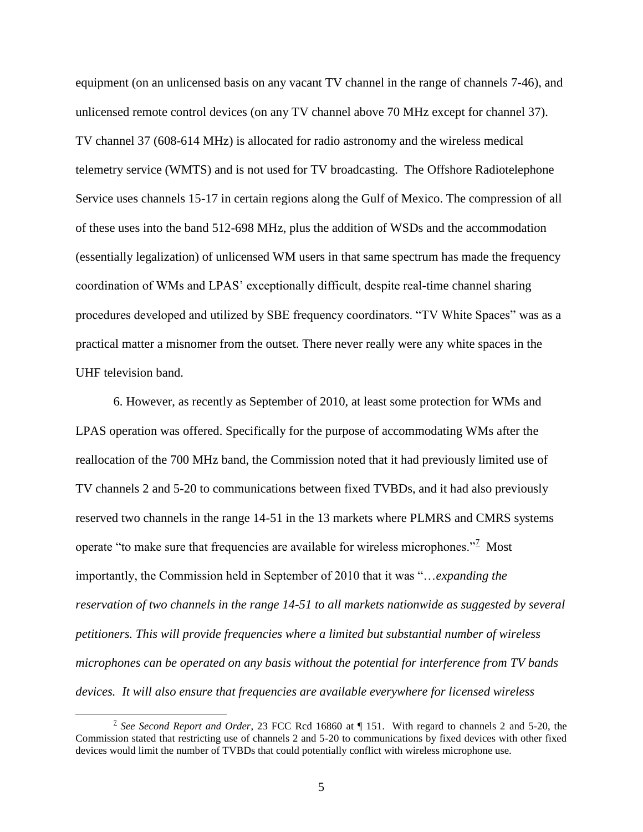equipment (on an unlicensed basis on any vacant TV channel in the range of channels 7-46), and unlicensed remote control devices (on any TV channel above 70 MHz except for channel 37). TV channel 37 (608-614 MHz) is allocated for radio astronomy and the wireless medical telemetry service (WMTS) and is not used for TV broadcasting. The Offshore Radiotelephone Service uses channels 15-17 in certain regions along the Gulf of Mexico. The compression of all of these uses into the band 512-698 MHz, plus the addition of WSDs and the accommodation (essentially legalization) of unlicensed WM users in that same spectrum has made the frequency coordination of WMs and LPAS' exceptionally difficult, despite real-time channel sharing procedures developed and utilized by SBE frequency coordinators. "TV White Spaces" was as a practical matter a misnomer from the outset. There never really were any white spaces in the UHF television band.

6. However, as recently as September of 2010, at least some protection for WMs and LPAS operation was offered. Specifically for the purpose of accommodating WMs after the reallocation of the 700 MHz band, the Commission noted that it had previously limited use of TV channels 2 and 5-20 to communications between fixed TVBDs, and it had also previously reserved two channels in the range 14-51 in the 13 markets where PLMRS and CMRS systems operate "to make sure that frequencies are available for wireless microphones."<sup>2</sup> Most importantly, the Commission held in September of 2010 that it was "…*expanding the reservation of two channels in the range 14-51 to all markets nationwide as suggested by several petitioners. This will provide frequencies where a limited but substantial number of wireless microphones can be operated on any basis without the potential for interference from TV bands devices. It will also ensure that frequencies are available everywhere for licensed wireless* 

<sup>7</sup> *See Second Report and Order*, 23 FCC Rcd 16860 at ¶ 151. With regard to channels 2 and 5-20, the Commission stated that restricting use of channels 2 and 5-20 to communications by fixed devices with other fixed devices would limit the number of TVBDs that could potentially conflict with wireless microphone use.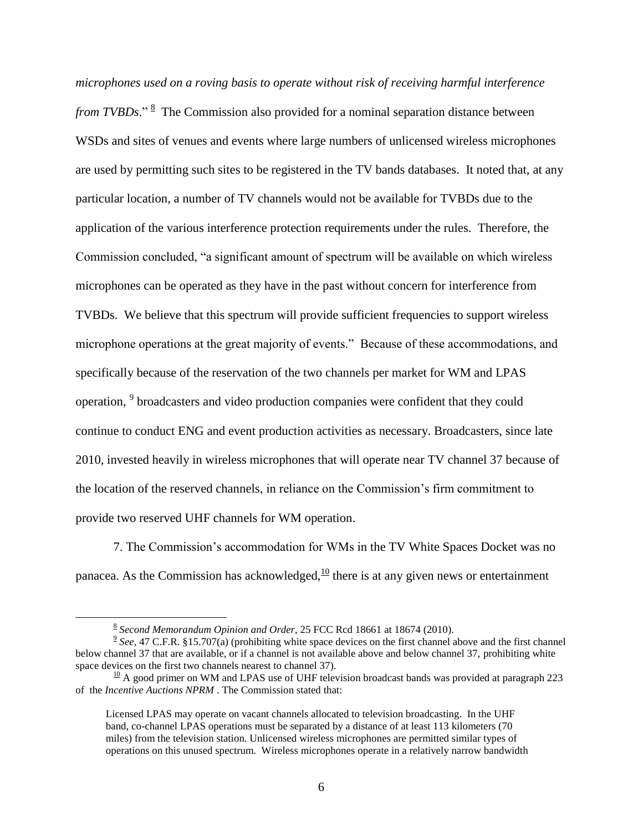*microphones used on a roving basis to operate without risk of receiving harmful interference*  from TVBDs."<sup>8</sup> The Commission also provided for a nominal separation distance between WSDs and sites of venues and events where large numbers of unlicensed wireless microphones are used by permitting such sites to be registered in the TV bands databases. It noted that, at any particular location, a number of TV channels would not be available for TVBDs due to the application of the various interference protection requirements under the rules. Therefore, the Commission concluded, "a significant amount of spectrum will be available on which wireless microphones can be operated as they have in the past without concern for interference from TVBDs. We believe that this spectrum will provide sufficient frequencies to support wireless microphone operations at the great majority of events." Because of these accommodations, and specifically because of the reservation of the two channels per market for WM and LPAS operation, <sup>9</sup> broadcasters and video production companies were confident that they could continue to conduct ENG and event production activities as necessary. Broadcasters, since late 2010, invested heavily in wireless microphones that will operate near TV channel 37 because of the location of the reserved channels, in reliance on the Commission's firm commitment to provide two reserved UHF channels for WM operation.

7. The Commission's accommodation for WMs in the TV White Spaces Docket was no panacea. As the Commission has acknowledged,  $\frac{10}{10}$  there is at any given news or entertainment

<sup>8</sup> *Second Memorandum Opinion and Order*, 25 FCC Rcd 18661 at 18674 (2010).

 $9 \text{ See}$ , 47 C.F.R. §15.707(a) (prohibiting white space devices on the first channel above and the first channel below channel 37 that are available, or if a channel is not available above and below channel 37, prohibiting white space devices on the first two channels nearest to channel 37).

 $\frac{10}{10}$  A good primer on WM and LPAS use of UHF television broadcast bands was provided at paragraph 223 of the *Incentive Auctions NPRM* . The Commission stated that:

Licensed LPAS may operate on vacant channels allocated to television broadcasting. In the UHF band, co-channel LPAS operations must be separated by a distance of at least 113 kilometers (70 miles) from the television station. Unlicensed wireless microphones are permitted similar types of operations on this unused spectrum. Wireless microphones operate in a relatively narrow bandwidth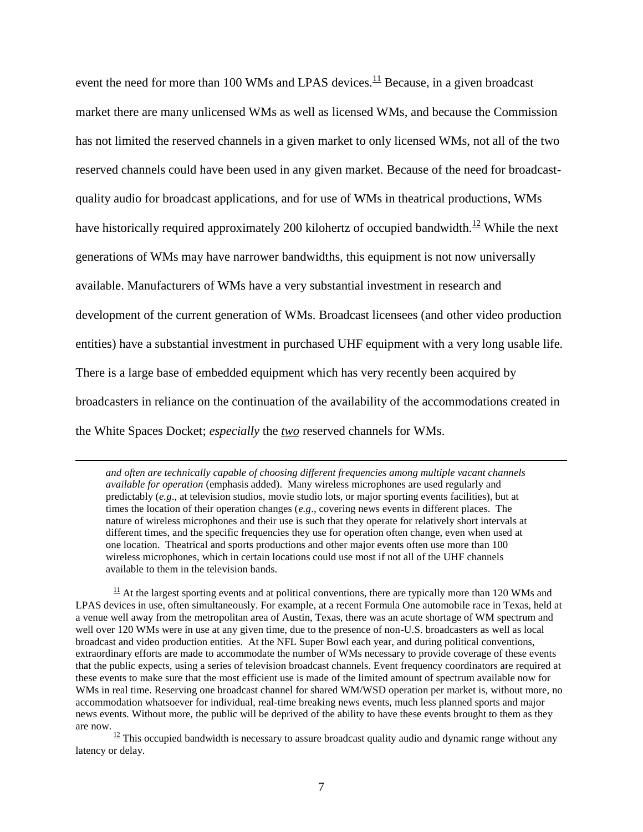event the need for more than 100 WMs and LPAS devices.<sup>11</sup> Because, in a given broadcast market there are many unlicensed WMs as well as licensed WMs, and because the Commission has not limited the reserved channels in a given market to only licensed WMs, not all of the two reserved channels could have been used in any given market. Because of the need for broadcastquality audio for broadcast applications, and for use of WMs in theatrical productions, WMs have historically required approximately 200 kilohertz of occupied bandwidth.<sup>12</sup> While the next generations of WMs may have narrower bandwidths, this equipment is not now universally available. Manufacturers of WMs have a very substantial investment in research and development of the current generation of WMs. Broadcast licensees (and other video production entities) have a substantial investment in purchased UHF equipment with a very long usable life. There is a large base of embedded equipment which has very recently been acquired by broadcasters in reliance on the continuation of the availability of the accommodations created in the White Spaces Docket; *especially* the *two* reserved channels for WMs.

*and often are technically capable of choosing different frequencies among multiple vacant channels available for operation* (emphasis added). Many wireless microphones are used regularly and predictably (*e.g*., at television studios, movie studio lots, or major sporting events facilities), but at times the location of their operation changes (*e.g*., covering news events in different places. The nature of wireless microphones and their use is such that they operate for relatively short intervals at different times, and the specific frequencies they use for operation often change, even when used at one location. Theatrical and sports productions and other major events often use more than 100 wireless microphones, which in certain locations could use most if not all of the UHF channels available to them in the television bands.

 $\overline{a}$ 

 $11$  At the largest sporting events and at political conventions, there are typically more than 120 WMs and LPAS devices in use, often simultaneously. For example, at a recent Formula One automobile race in Texas, held at a venue well away from the metropolitan area of Austin, Texas, there was an acute shortage of WM spectrum and well over 120 WMs were in use at any given time, due to the presence of non-U.S. broadcasters as well as local broadcast and video production entities. At the NFL Super Bowl each year, and during political conventions, extraordinary efforts are made to accommodate the number of WMs necessary to provide coverage of these events that the public expects, using a series of television broadcast channels. Event frequency coordinators are required at these events to make sure that the most efficient use is made of the limited amount of spectrum available now for WMs in real time. Reserving one broadcast channel for shared WM/WSD operation per market is, without more, no accommodation whatsoever for individual, real-time breaking news events, much less planned sports and major news events. Without more, the public will be deprived of the ability to have these events brought to them as they are now.

 $12$  This occupied bandwidth is necessary to assure broadcast quality audio and dynamic range without any latency or delay.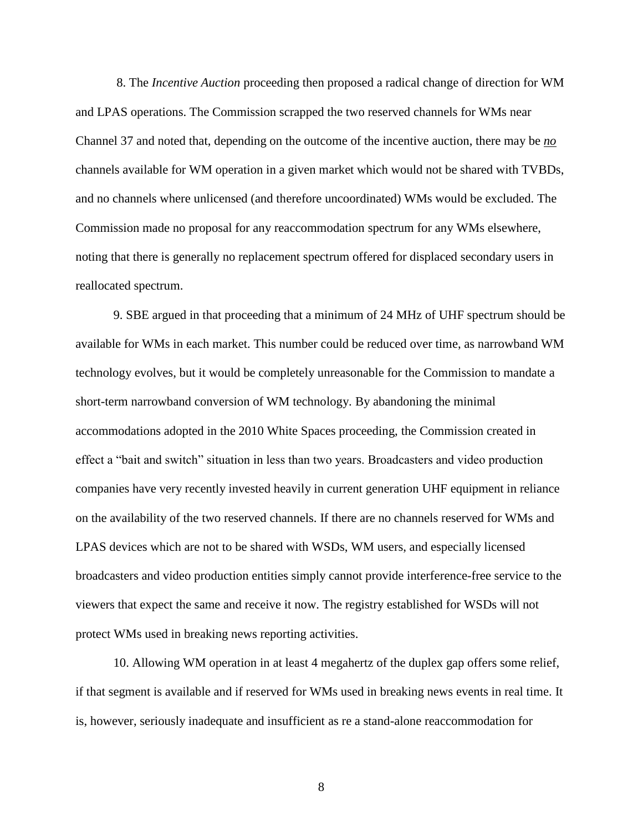8. The *Incentive Auction* proceeding then proposed a radical change of direction for WM and LPAS operations. The Commission scrapped the two reserved channels for WMs near Channel 37 and noted that, depending on the outcome of the incentive auction, there may be *no* channels available for WM operation in a given market which would not be shared with TVBDs, and no channels where unlicensed (and therefore uncoordinated) WMs would be excluded. The Commission made no proposal for any reaccommodation spectrum for any WMs elsewhere, noting that there is generally no replacement spectrum offered for displaced secondary users in reallocated spectrum.

9. SBE argued in that proceeding that a minimum of 24 MHz of UHF spectrum should be available for WMs in each market. This number could be reduced over time, as narrowband WM technology evolves, but it would be completely unreasonable for the Commission to mandate a short-term narrowband conversion of WM technology. By abandoning the minimal accommodations adopted in the 2010 White Spaces proceeding, the Commission created in effect a "bait and switch" situation in less than two years. Broadcasters and video production companies have very recently invested heavily in current generation UHF equipment in reliance on the availability of the two reserved channels. If there are no channels reserved for WMs and LPAS devices which are not to be shared with WSDs, WM users, and especially licensed broadcasters and video production entities simply cannot provide interference-free service to the viewers that expect the same and receive it now. The registry established for WSDs will not protect WMs used in breaking news reporting activities.

10. Allowing WM operation in at least 4 megahertz of the duplex gap offers some relief, if that segment is available and if reserved for WMs used in breaking news events in real time. It is, however, seriously inadequate and insufficient as re a stand-alone reaccommodation for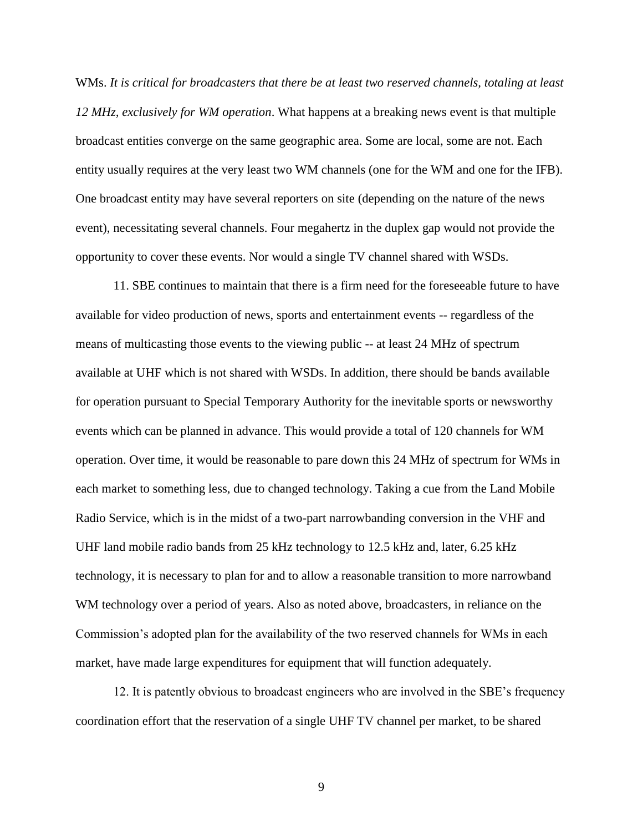WMs. *It is critical for broadcasters that there be at least two reserved channels, totaling at least 12 MHz, exclusively for WM operation*. What happens at a breaking news event is that multiple broadcast entities converge on the same geographic area. Some are local, some are not. Each entity usually requires at the very least two WM channels (one for the WM and one for the IFB). One broadcast entity may have several reporters on site (depending on the nature of the news event), necessitating several channels. Four megahertz in the duplex gap would not provide the opportunity to cover these events. Nor would a single TV channel shared with WSDs.

11. SBE continues to maintain that there is a firm need for the foreseeable future to have available for video production of news, sports and entertainment events -- regardless of the means of multicasting those events to the viewing public -- at least 24 MHz of spectrum available at UHF which is not shared with WSDs. In addition, there should be bands available for operation pursuant to Special Temporary Authority for the inevitable sports or newsworthy events which can be planned in advance. This would provide a total of 120 channels for WM operation. Over time, it would be reasonable to pare down this 24 MHz of spectrum for WMs in each market to something less, due to changed technology. Taking a cue from the Land Mobile Radio Service, which is in the midst of a two-part narrowbanding conversion in the VHF and UHF land mobile radio bands from 25 kHz technology to 12.5 kHz and, later, 6.25 kHz technology, it is necessary to plan for and to allow a reasonable transition to more narrowband WM technology over a period of years. Also as noted above, broadcasters, in reliance on the Commission's adopted plan for the availability of the two reserved channels for WMs in each market, have made large expenditures for equipment that will function adequately.

12. It is patently obvious to broadcast engineers who are involved in the SBE's frequency coordination effort that the reservation of a single UHF TV channel per market, to be shared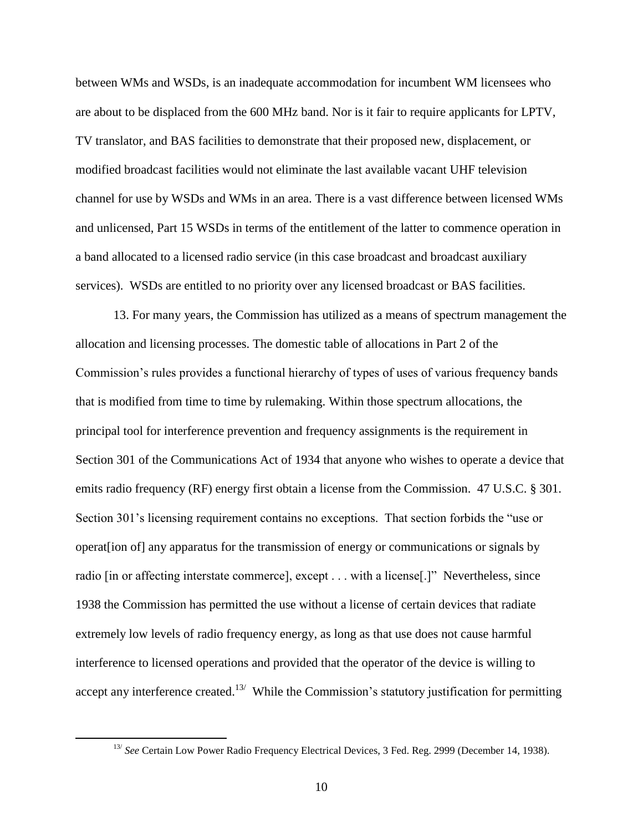between WMs and WSDs, is an inadequate accommodation for incumbent WM licensees who are about to be displaced from the 600 MHz band. Nor is it fair to require applicants for LPTV, TV translator, and BAS facilities to demonstrate that their proposed new, displacement, or modified broadcast facilities would not eliminate the last available vacant UHF television channel for use by WSDs and WMs in an area. There is a vast difference between licensed WMs and unlicensed, Part 15 WSDs in terms of the entitlement of the latter to commence operation in a band allocated to a licensed radio service (in this case broadcast and broadcast auxiliary services). WSDs are entitled to no priority over any licensed broadcast or BAS facilities.

13. For many years, the Commission has utilized as a means of spectrum management the allocation and licensing processes. The domestic table of allocations in Part 2 of the Commission's rules provides a functional hierarchy of types of uses of various frequency bands that is modified from time to time by rulemaking. Within those spectrum allocations, the principal tool for interference prevention and frequency assignments is the requirement in Section 301 of the Communications Act of 1934 that anyone who wishes to operate a device that emits radio frequency (RF) energy first obtain a license from the Commission. 47 U.S.C. § 301. Section 301's licensing requirement contains no exceptions. That section forbids the "use or operat[ion of] any apparatus for the transmission of energy or communications or signals by radio [in or affecting interstate commerce], except . . . with a license[.]" Nevertheless, since 1938 the Commission has permitted the use without a license of certain devices that radiate extremely low levels of radio frequency energy, as long as that use does not cause harmful interference to licensed operations and provided that the operator of the device is willing to accept any interference created.<sup>13/</sup> While the Commission's statutory justification for permitting

<sup>&</sup>lt;sup>13/</sup> See Certain Low Power Radio Frequency Electrical Devices, 3 Fed. Reg. 2999 (December 14, 1938).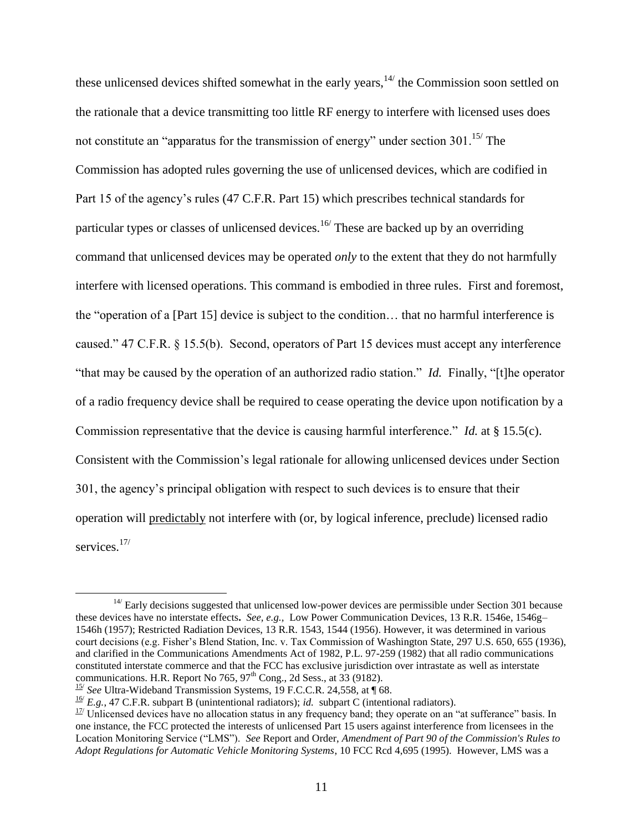these unlicensed devices shifted somewhat in the early years,  $14/$  the Commission soon settled on the rationale that a device transmitting too little RF energy to interfere with licensed uses does not constitute an "apparatus for the transmission of energy" under section  $301$ .<sup>15/</sup> The Commission has adopted rules governing the use of unlicensed devices, which are codified in Part 15 of the agency's rules (47 C.F.R. Part 15) which prescribes technical standards for particular types or classes of unlicensed devices.<sup>16/</sup> These are backed up by an overriding command that unlicensed devices may be operated *only* to the extent that they do not harmfully interfere with licensed operations. This command is embodied in three rules. First and foremost, the "operation of a [Part 15] device is subject to the condition… that no harmful interference is caused." 47 C.F.R. § 15.5(b). Second, operators of Part 15 devices must accept any interference "that may be caused by the operation of an authorized radio station." *Id.* Finally, "[t]he operator of a radio frequency device shall be required to cease operating the device upon notification by a Commission representative that the device is causing harmful interference." *Id.* at § 15.5(c). Consistent with the Commission's legal rationale for allowing unlicensed devices under Section 301, the agency's principal obligation with respect to such devices is to ensure that their operation will predictably not interfere with (or, by logical inference, preclude) licensed radio services.<sup>17/</sup>

 $14$ <sup>14</sup>/ Early decisions suggested that unlicensed low-power devices are permissible under Section 301 because these devices have no interstate effects**.** *See, e.g.,* Low Power Communication Devices, 13 R.R. 1546e, 1546g– 1546h (1957); Restricted Radiation Devices, 13 R.R. 1543, 1544 (1956). However, it was determined in various court decisions (e.g. Fisher's Blend Station, Inc. v. Tax Commission of Washington State, 297 U.S. 650, 655 (1936), and clarified in the Communications Amendments Act of 1982, P.L. 97-259 (1982) that all radio communications constituted interstate commerce and that the FCC has exclusive jurisdiction over intrastate as well as interstate communications. H.R. Report No  $765$ ,  $97<sup>th</sup>$  Cong., 2d Sess., at 33 (9182).

<sup>&</sup>lt;sup>15/</sup> See Ultra-Wideband Transmission Systems, 19 F.C.C.R. 24,558, at 168.

 $\frac{16}{2}$  *E.g.*, 47 C.F.R. subpart B (unintentional radiators); *id.* subpart C (intentional radiators).

 $1/2$  Unlicensed devices have no allocation status in any frequency band; they operate on an "at sufferance" basis. In one instance, the FCC protected the interests of unlicensed Part 15 users against interference from licensees in the Location Monitoring Service ("LMS"). *See* Report and Order, *Amendment of Part 90 of the Commission's Rules to Adopt Regulations for Automatic Vehicle Monitoring Systems*, 10 FCC Rcd 4,695 (1995). However, LMS was a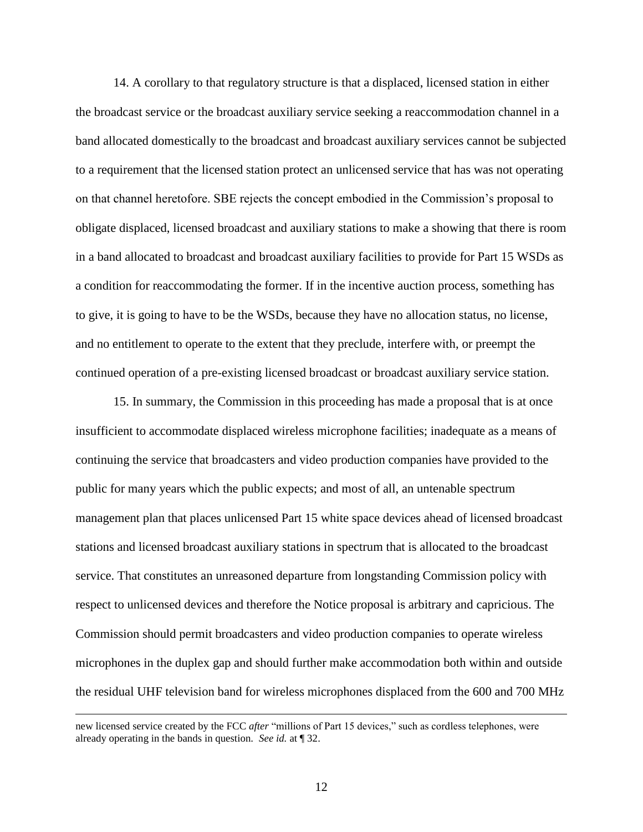14. A corollary to that regulatory structure is that a displaced, licensed station in either the broadcast service or the broadcast auxiliary service seeking a reaccommodation channel in a band allocated domestically to the broadcast and broadcast auxiliary services cannot be subjected to a requirement that the licensed station protect an unlicensed service that has was not operating on that channel heretofore. SBE rejects the concept embodied in the Commission's proposal to obligate displaced, licensed broadcast and auxiliary stations to make a showing that there is room in a band allocated to broadcast and broadcast auxiliary facilities to provide for Part 15 WSDs as a condition for reaccommodating the former. If in the incentive auction process, something has to give, it is going to have to be the WSDs, because they have no allocation status, no license, and no entitlement to operate to the extent that they preclude, interfere with, or preempt the continued operation of a pre-existing licensed broadcast or broadcast auxiliary service station.

15. In summary, the Commission in this proceeding has made a proposal that is at once insufficient to accommodate displaced wireless microphone facilities; inadequate as a means of continuing the service that broadcasters and video production companies have provided to the public for many years which the public expects; and most of all, an untenable spectrum management plan that places unlicensed Part 15 white space devices ahead of licensed broadcast stations and licensed broadcast auxiliary stations in spectrum that is allocated to the broadcast service. That constitutes an unreasoned departure from longstanding Commission policy with respect to unlicensed devices and therefore the Notice proposal is arbitrary and capricious. The Commission should permit broadcasters and video production companies to operate wireless microphones in the duplex gap and should further make accommodation both within and outside the residual UHF television band for wireless microphones displaced from the 600 and 700 MHz

new licensed service created by the FCC *after* "millions of Part 15 devices," such as cordless telephones, were already operating in the bands in question. *See id.* at ¶ 32.